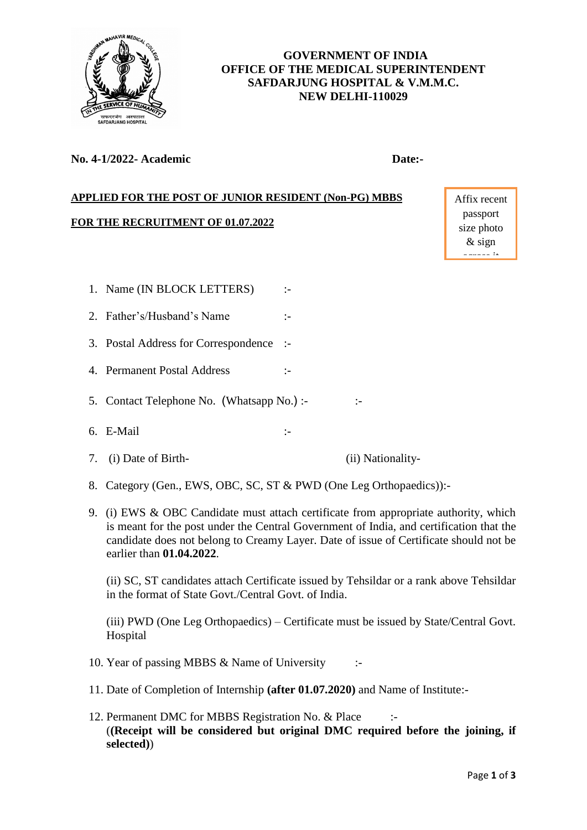

# **GOVERNMENT OF INDIA OFFICE OF THE MEDICAL SUPERINTENDENT SAFDARJUNG HOSPITAL & V.M.M.C. NEW DELHI-110029**

## **No. 4-1/2022- Academic Date:-**

# **APPLIED FOR THE POST OF JUNIOR RESIDENT (Non-PG) MBBS**

#### **FOR THE RECRUITMENT OF 01.07.2022**

Affix recent passport size photo & sign across it

- 1. Name (IN BLOCK LETTERS) :-
- 2. Father's/Husband's Name :-
- 3. Postal Address for Correspondence :-
- 4. Permanent Postal Address :-
- 5. Contact Telephone No. (Whatsapp No.) :- :-
- 6. E-Mail :-
- 7. (i) Date of Birth- (ii) Nationality-
- 8. Category (Gen., EWS, OBC, SC, ST & PWD (One Leg Orthopaedics)):-
- 9. (i) EWS & OBC Candidate must attach certificate from appropriate authority, which is meant for the post under the Central Government of India, and certification that the candidate does not belong to Creamy Layer. Date of issue of Certificate should not be earlier than **01.04.2022**.

(ii) SC, ST candidates attach Certificate issued by Tehsildar or a rank above Tehsildar in the format of State Govt./Central Govt. of India.

(iii) PWD (One Leg Orthopaedics) – Certificate must be issued by State/Central Govt. Hospital

- 10. Year of passing MBBS & Name of University :-
- 11. Date of Completion of Internship **(after 01.07.2020)** and Name of Institute:-
- 12. Permanent DMC for MBBS Registration No. & Place :-(**(Receipt will be considered but original DMC required before the joining, if selected)**)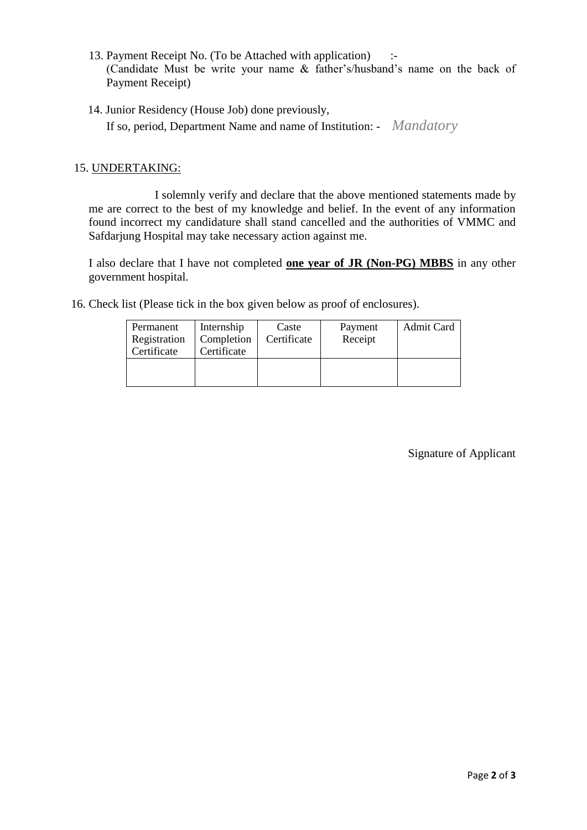- 13. Payment Receipt No. (To be Attached with application) :- (Candidate Must be write your name & father's/husband's name on the back of Payment Receipt)
- 14. Junior Residency (House Job) done previously, If so, period, Department Name and name of Institution: - *Mandatory*

### 15. UNDERTAKING:

I solemnly verify and declare that the above mentioned statements made by me are correct to the best of my knowledge and belief. In the event of any information found incorrect my candidature shall stand cancelled and the authorities of VMMC and Safdarjung Hospital may take necessary action against me.

I also declare that I have not completed **one year of JR (Non-PG) MBBS** in any other government hospital.

16. Check list (Please tick in the box given below as proof of enclosures).

| Internship  | Caste       | Payment | Admit Card |
|-------------|-------------|---------|------------|
| Completion  | Certificate | Receipt |            |
| Certificate |             |         |            |
|             |             |         |            |
|             |             |         |            |
|             |             |         |            |

Signature of Applicant